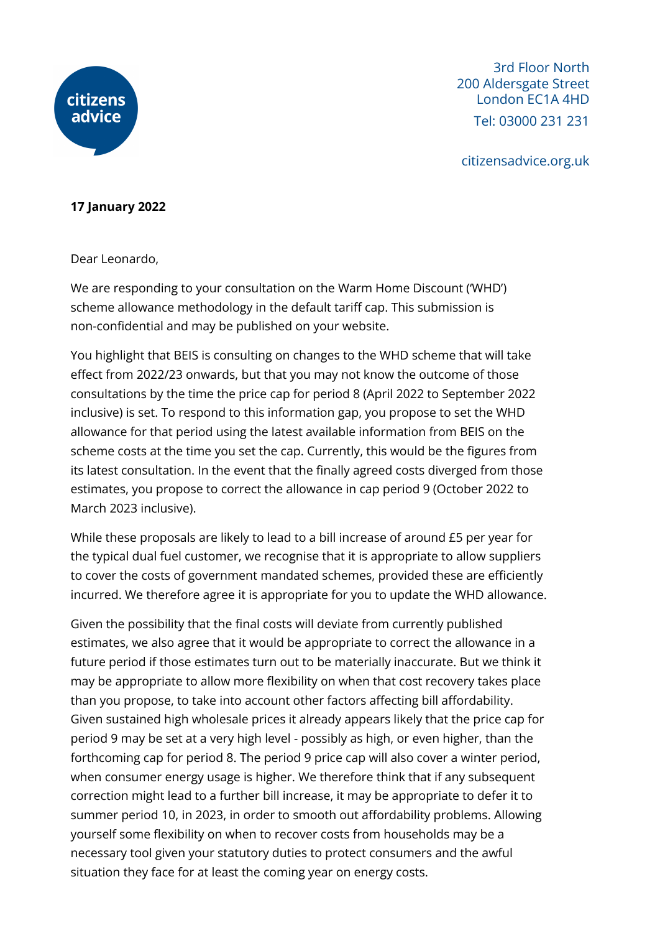

3rd Floor North 200 Aldersgate Street London EC1A 4HD Tel: 03000 231 231

citizensadvice.org.uk

## **17 January 2022**

Dear Leonardo,

We are responding to your consultation on the Warm Home Discount ('WHD') scheme allowance methodology in the default tariff cap. This submission is non-confidential and may be published on your website.

You highlight that BEIS is consulting on changes to the WHD scheme that will take effect from 2022/23 onwards, but that you may not know the outcome of those consultations by the time the price cap for period 8 (April 2022 to September 2022 inclusive) is set. To respond to this information gap, you propose to set the WHD allowance for that period using the latest available information from BEIS on the scheme costs at the time you set the cap. Currently, this would be the figures from its latest consultation. In the event that the finally agreed costs diverged from those estimates, you propose to correct the allowance in cap period 9 (October 2022 to March 2023 inclusive).

While these proposals are likely to lead to a bill increase of around £5 per year for the typical dual fuel customer, we recognise that it is appropriate to allow suppliers to cover the costs of government mandated schemes, provided these are efficiently incurred. We therefore agree it is appropriate for you to update the WHD allowance.

Given the possibility that the final costs will deviate from currently published estimates, we also agree that it would be appropriate to correct the allowance in a future period if those estimates turn out to be materially inaccurate. But we think it may be appropriate to allow more flexibility on when that cost recovery takes place than you propose, to take into account other factors affecting bill affordability. Given sustained high wholesale prices it already appears likely that the price cap for period 9 may be set at a very high level - possibly as high, or even higher, than the forthcoming cap for period 8. The period 9 price cap will also cover a winter period, when consumer energy usage is higher. We therefore think that if any subsequent correction might lead to a further bill increase, it may be appropriate to defer it to summer period 10, in 2023, in order to smooth out affordability problems. Allowing yourself some flexibility on when to recover costs from households may be a necessary tool given your statutory duties to protect consumers and the awful situation they face for at least the coming year on energy costs.